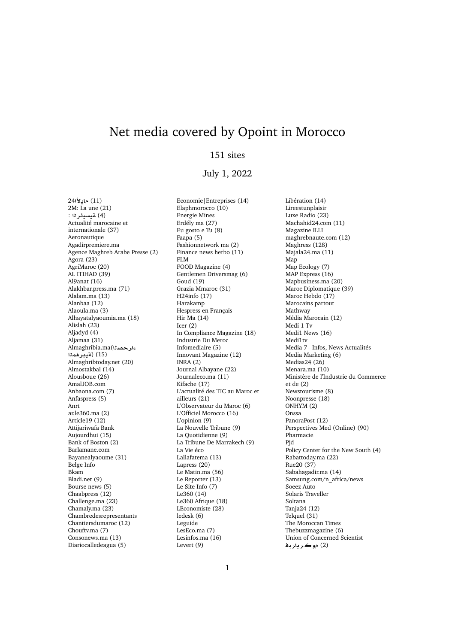## Net media covered by Opoint in Morocco

## 151 sites

## July 1, 2022

24**±§A** (11) 2M: La une (21) (4) **ةيسيئر ل**ا : Actualité marocaine et internationale (37) Aeronautique Agadirpremiere.ma Agence Maghreb Arabe Presse (2) Agora (23) AgriMaroc (20) AL ITIHAD (39) Al9anat (16) Alakhbar.press.ma (71) Alalam.ma (13) Alanbaa (12) Alaoula.ma (3) Alhayatalyaoumia.ma (18) Alislah (23) Aljadyd (4) Aljamaa (31) Almaghribia.ma(**Orº mryT**) (15) Almaghribtoday.net (20) Almostakbal (14) Alousboue (26) AmalJOB.com Anbaona.com (7) Anfaspress (5) Anrt ar.le360.ma (2) Article19 (12) Attijariwafa Bank Aujourdhui (15) Bank of Boston (2) Barlamane.com Bayanealyaoume (31) Belge Info Bkam Bladi.net (9) Bourse news (5) Chaabpress (12) Challenge.ma (23) Chamaly.ma (23) Chambredesrepresentants Chantiersdumaroc (12) Chouftv.ma (7) Consonews.ma (13) Diariocalledeagua (5)

Economie|Entreprises (14) Elaphmorocco (10) Energie Mines Erdély ma (27) Eu gosto e Tu (8) Faapa (5) Fashionnetwork ma (2) Finance news herbo (11) FLM FOOD Magazine (4) Gentlemen Driversmag (6) Goud (19) Grazia Mmaroc (31) H24info (17) Harakamp Hespress en Français Hir Ma (14) Icer (2) In Compliance Magazine (18) Industrie Du Meroc Infomediaire (5) Innovant Magazine (12) INRA (2) Journal Albayane (22) Journaleco.ma (11) Kifache (17) L'actualité des TIC au Maroc et ailleurs (21) L'Observateur du Maroc (6) L'Officiel Morocco (16) L'opinion (9) La Nouvelle Tribune (9) La Quotidienne (9) La Tribune De Marrakech (9) La Vie éco Lallafatema (13) Lapress (20) Le Matin.ma (56) Le Reporter (13) Le Site Info (7) Le360 (14) Le360 Afrique (18) LEconomiste (28) ledesk (6) Leguide LesEco.ma (7) Lesinfos.ma (16) Levert (9)

Libération (14) Lireestunplaisir Luxe Radio (23) Machahid24.com (11) Magazine ILLI maghrebnaute.com (12) Maghress (128) Majala24.ma (11) Map Map Ecology (7) MAP Express (16) Mapbusiness.ma (20) Maroc Diplomatique (39) Maroc Hebdo (17) Marocains partout Mathway Média Marocain (12) Medi 1 Tv Medi1 News (16) Medi1tv Media 7 – Infos, News Actualités Media Marketing (6) Medias24 (26) Menara.ma (10) Ministère de l'Industrie du Commerce et de (2) Newstourisme (8) Noonpresse (18) ONHYM (2) Onssa PanoraPost (12) Perspectives Med (Online) (90) Pharmacie Pjd Policy Center for the New South (4) Rabattoday.ma (22) Rue20 (37) Sabahagadir.ma (14) Samsung.com/n\_africa/news Soeez Auto Solaris Traveller Soltana Tanja24 (12) Telquel  $(31)$ The Moroccan Times Thebuzzmagazine (6) Union of Concerned Scientist **br§r**.**w** (2)